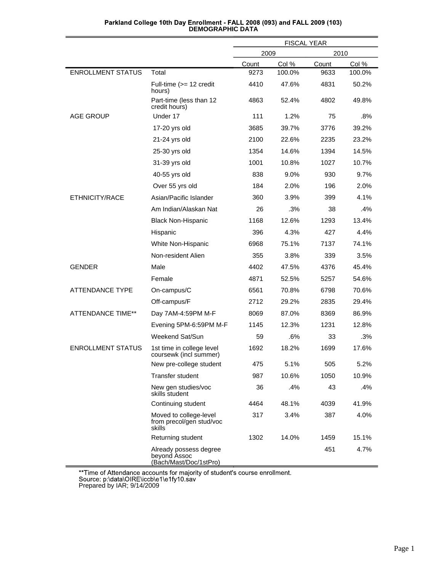|                          |                                                                  | <b>FISCAL YEAR</b> |        |       |        |
|--------------------------|------------------------------------------------------------------|--------------------|--------|-------|--------|
|                          |                                                                  | 2009               |        | 2010  |        |
|                          |                                                                  | Count              | Col %  | Count | Col %  |
| <b>ENROLLMENT STATUS</b> | Total                                                            | 9273               | 100.0% | 9633  | 100.0% |
|                          | Full-time (>= 12 credit<br>hours)                                | 4410               | 47.6%  | 4831  | 50.2%  |
|                          | Part-time (less than 12<br>credit hours)                         | 4863               | 52.4%  | 4802  | 49.8%  |
| <b>AGE GROUP</b>         | Under 17                                                         | 111                | 1.2%   | 75    | .8%    |
|                          | 17-20 yrs old                                                    | 3685               | 39.7%  | 3776  | 39.2%  |
|                          | 21-24 yrs old                                                    | 2100               | 22.6%  | 2235  | 23.2%  |
|                          | 25-30 yrs old                                                    | 1354               | 14.6%  | 1394  | 14.5%  |
|                          | 31-39 yrs old                                                    | 1001               | 10.8%  | 1027  | 10.7%  |
|                          | 40-55 yrs old                                                    | 838                | 9.0%   | 930   | 9.7%   |
|                          | Over 55 yrs old                                                  | 184                | 2.0%   | 196   | 2.0%   |
| ETHNICITY/RACE           | Asian/Pacific Islander                                           | 360                | 3.9%   | 399   | 4.1%   |
|                          | Am Indian/Alaskan Nat                                            | 26                 | .3%    | 38    | .4%    |
|                          | <b>Black Non-Hispanic</b>                                        | 1168               | 12.6%  | 1293  | 13.4%  |
|                          | Hispanic                                                         | 396                | 4.3%   | 427   | 4.4%   |
|                          | White Non-Hispanic                                               | 6968               | 75.1%  | 7137  | 74.1%  |
|                          | Non-resident Alien                                               | 355                | 3.8%   | 339   | 3.5%   |
| <b>GENDER</b>            | Male                                                             | 4402               | 47.5%  | 4376  | 45.4%  |
|                          | Female                                                           | 4871               | 52.5%  | 5257  | 54.6%  |
| ATTENDANCE TYPE          | On-campus/C                                                      | 6561               | 70.8%  | 6798  | 70.6%  |
|                          | Off-campus/F                                                     | 2712               | 29.2%  | 2835  | 29.4%  |
| <b>ATTENDANCE TIME**</b> | Day 7AM-4:59PM M-F                                               | 8069               | 87.0%  | 8369  | 86.9%  |
|                          | Evening 5PM-6:59PM M-F                                           | 1145               | 12.3%  | 1231  | 12.8%  |
|                          | Weekend Sat/Sun                                                  | 59                 | .6%    | 33    | .3%    |
| <b>ENROLLMENT STATUS</b> | 1st time in college level<br>coursewk (incl summer)              | 1692               | 18.2%  | 1699  | 17.6%  |
|                          | New pre-college student                                          | 475                | 5.1%   | 505   | 5.2%   |
|                          | Transfer student                                                 | 987                | 10.6%  | 1050  | 10.9%  |
|                          | New gen studies/voc<br>skills student                            | 36                 | .4%    | 43    | .4%    |
|                          | Continuing student                                               | 4464               | 48.1%  | 4039  | 41.9%  |
|                          | Moved to college-level<br>from precol/gen stud/voc<br>skills     | 317                | 3.4%   | 387   | 4.0%   |
|                          | Returning student                                                | 1302               | 14.0%  | 1459  | 15.1%  |
|                          | Already possess degree<br>beyond Assoc<br>(Bach/Mast/Doc/1stPro) |                    |        | 451   | 4.7%   |

## Parkland College 10th Day Enrollment - FALL 2008 (093) and FALL 2009 (103)<br>DEMOGRAPHIC DATA

\*\*Time of Attendance accounts for majority of student's course enrollment.<br>Source: p:\data\OIRE\iccb\e1\e1fy10.sav<br>Prepared by IAR; 9/14/2009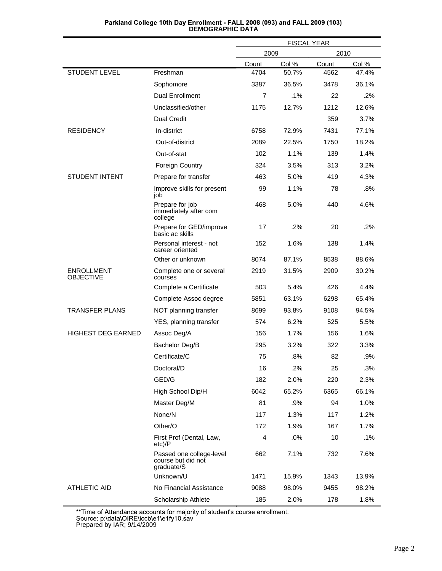|                                       |                                                              | <b>FISCAL YEAR</b> |       |       |       |
|---------------------------------------|--------------------------------------------------------------|--------------------|-------|-------|-------|
|                                       |                                                              | 2009               |       | 2010  |       |
|                                       |                                                              | Count              | Col % | Count | Col % |
| <b>STUDENT LEVEL</b>                  | Freshman                                                     | 4704               | 50.7% | 4562  | 47.4% |
|                                       | Sophomore                                                    | 3387               | 36.5% | 3478  | 36.1% |
|                                       | <b>Dual Enrollment</b>                                       | 7                  | .1%   | 22    | .2%   |
|                                       | Unclassified/other                                           | 1175               | 12.7% | 1212  | 12.6% |
|                                       | <b>Dual Credit</b>                                           |                    |       | 359   | 3.7%  |
| <b>RESIDENCY</b>                      | In-district                                                  | 6758               | 72.9% | 7431  | 77.1% |
|                                       | Out-of-district                                              | 2089               | 22.5% | 1750  | 18.2% |
|                                       | Out-of-stat                                                  | 102                | 1.1%  | 139   | 1.4%  |
|                                       | <b>Foreign Country</b>                                       | 324                | 3.5%  | 313   | 3.2%  |
| <b>STUDENT INTENT</b>                 | Prepare for transfer                                         | 463                | 5.0%  | 419   | 4.3%  |
|                                       | Improve skills for present<br>job                            | 99                 | 1.1%  | 78    | .8%   |
|                                       | Prepare for job<br>immediately after com<br>college          | 468                | 5.0%  | 440   | 4.6%  |
|                                       | Prepare for GED/improve<br>basic ac skills                   | 17                 | .2%   | 20    | .2%   |
|                                       | Personal interest - not<br>career oriented                   | 152                | 1.6%  | 138   | 1.4%  |
|                                       | Other or unknown                                             | 8074               | 87.1% | 8538  | 88.6% |
| <b>ENROLLMENT</b><br><b>OBJECTIVE</b> | Complete one or several<br>courses                           | 2919               | 31.5% | 2909  | 30.2% |
|                                       | Complete a Certificate                                       | 503                | 5.4%  | 426   | 4.4%  |
|                                       | Complete Assoc degree                                        | 5851               | 63.1% | 6298  | 65.4% |
| <b>TRANSFER PLANS</b>                 | NOT planning transfer                                        | 8699               | 93.8% | 9108  | 94.5% |
|                                       | YES, planning transfer                                       | 574                | 6.2%  | 525   | 5.5%  |
| <b>HIGHEST DEG EARNED</b>             | Assoc Deg/A                                                  | 156                | 1.7%  | 156   | 1.6%  |
|                                       | Bachelor Deg/B                                               | 295                | 3.2%  | 322   | 3.3%  |
|                                       | Certificate/C                                                | 75                 | .8%   | 82    | .9%   |
|                                       | Doctoral/D                                                   | 16                 | .2%   | 25    | .3%   |
|                                       | GED/G                                                        | 182                | 2.0%  | 220   | 2.3%  |
|                                       | High School Dip/H                                            | 6042               | 65.2% | 6365  | 66.1% |
|                                       | Master Deg/M                                                 | 81                 | .9%   | 94    | 1.0%  |
|                                       | None/N                                                       | 117                | 1.3%  | 117   | 1.2%  |
|                                       | Other/O                                                      | 172                | 1.9%  | 167   | 1.7%  |
|                                       | First Prof (Dental, Law,<br>$etc$ )/P                        | 4                  | .0%   | 10    | .1%   |
|                                       | Passed one college-level<br>course but did not<br>graduate/S | 662                | 7.1%  | 732   | 7.6%  |
|                                       | Unknown/U                                                    | 1471               | 15.9% | 1343  | 13.9% |
| <b>ATHLETIC AID</b>                   | No Financial Assistance                                      | 9088               | 98.0% | 9455  | 98.2% |
|                                       | Scholarship Athlete                                          | 185                | 2.0%  | 178   | 1.8%  |

## Parkland College 10th Day Enrollment - FALL 2008 (093) and FALL 2009 (103)<br>DEMOGRAPHIC DATA

\*\*Time of Attendance accounts for majority of student's course enrollment.<br>Source: p:\data\OIRE\iccb\e1\e1fy10.sav<br>Prepared by IAR; 9/14/2009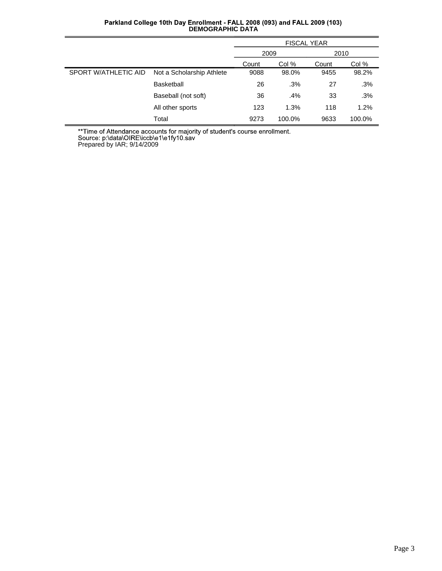|                      |                           | <b>FISCAL YEAR</b> |        |       |        |
|----------------------|---------------------------|--------------------|--------|-------|--------|
|                      |                           | 2009<br>2010       |        |       |        |
|                      |                           | Count              | Col %  | Count | Col %  |
| SPORT W/ATHLETIC AID | Not a Scholarship Athlete | 9088               | 98.0%  | 9455  | 98.2%  |
|                      | <b>Basketball</b>         | 26                 | .3%    | 27    | .3%    |
|                      | Baseball (not soft)       | 36                 | .4%    | 33    | .3%    |
|                      | All other sports          | 123                | 1.3%   | 118   | 1.2%   |
|                      | Total                     | 9273               | 100.0% | 9633  | 100.0% |

## Parkland College 10th Day Enrollment - FALL 2008 (093) and FALL 2009 (103)<br>DEMOGRAPHIC DATA

\*\*Time of Attendance accounts for majority of student's course enrollment.<br>Source: p:\data\OIRE\iccb\e1\e1fy10.sav<br>Prepared by IAR; 9/14/2009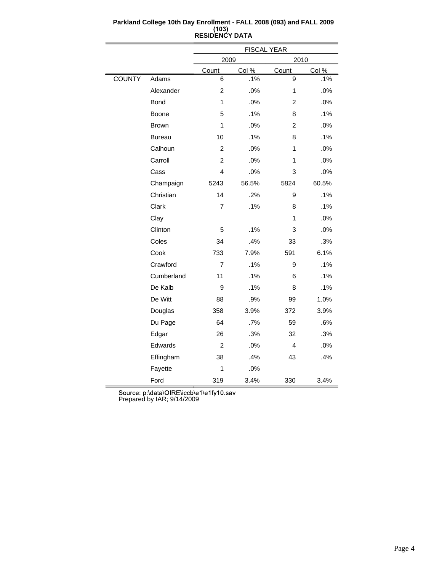|               |               | <b>FISCAL YEAR</b> |       |                |       |  |
|---------------|---------------|--------------------|-------|----------------|-------|--|
|               |               | 2009               |       | 2010           |       |  |
|               |               | Count              | Col % | Count          | Col % |  |
| <b>COUNTY</b> | Adams         | 6                  | .1%   | 9              | .1%   |  |
|               | Alexander     | $\overline{2}$     | .0%   | 1              | .0%   |  |
|               | <b>Bond</b>   | 1                  | .0%   | $\overline{2}$ | .0%   |  |
|               | Boone         | 5                  | .1%   | 8              | .1%   |  |
|               | <b>Brown</b>  | 1                  | .0%   | $\overline{2}$ | .0%   |  |
|               | <b>Bureau</b> | 10                 | .1%   | 8              | .1%   |  |
|               | Calhoun       | $\overline{c}$     | .0%   | 1              | .0%   |  |
|               | Carroll       | $\overline{c}$     | .0%   | 1              | .0%   |  |
|               | Cass          | 4                  | .0%   | 3              | .0%   |  |
|               | Champaign     | 5243               | 56.5% | 5824           | 60.5% |  |
|               | Christian     | 14                 | .2%   | 9              | .1%   |  |
|               | Clark         | $\overline{7}$     | .1%   | 8              | .1%   |  |
|               | Clay          |                    |       | 1              | .0%   |  |
|               | Clinton       | 5                  | .1%   | 3              | .0%   |  |
|               | Coles         | 34                 | .4%   | 33             | .3%   |  |
|               | Cook          | 733                | 7.9%  | 591            | 6.1%  |  |
|               | Crawford      | $\overline{7}$     | .1%   | 9              | .1%   |  |
|               | Cumberland    | 11                 | .1%   | 6              | .1%   |  |
|               | De Kalb       | 9                  | .1%   | 8              | .1%   |  |
|               | De Witt       | 88                 | .9%   | 99             | 1.0%  |  |
|               | Douglas       | 358                | 3.9%  | 372            | 3.9%  |  |
|               | Du Page       | 64                 | .7%   | 59             | .6%   |  |
|               | Edgar         | 26                 | .3%   | 32             | .3%   |  |
|               | Edwards       | $\overline{c}$     | .0%   | 4              | .0%   |  |
|               | Effingham     | 38                 | .4%   | 43             | .4%   |  |
|               | Fayette       | 1                  | .0%   |                |       |  |
|               | Ford          | 319                | 3.4%  | 330            | 3.4%  |  |

#### **Parkland College 10th Day Enrollment - FALL 2008 (093) and FALL 2009 RESIDENCY DATA**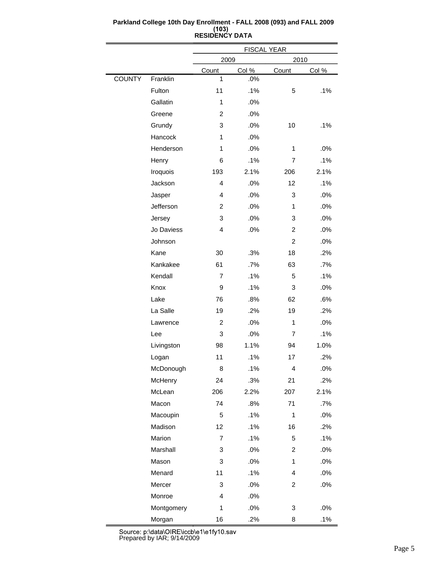|               |            | <b>FISCAL YEAR</b> |       |                |       |  |  |
|---------------|------------|--------------------|-------|----------------|-------|--|--|
|               |            | 2010<br>2009       |       |                |       |  |  |
|               |            | Count              | Col % | Count          | Col % |  |  |
| <b>COUNTY</b> | Franklin   | 1                  | .0%   |                |       |  |  |
|               | Fulton     | 11                 | .1%   | 5              | .1%   |  |  |
|               | Gallatin   | 1                  | .0%   |                |       |  |  |
|               | Greene     | 2                  | .0%   |                |       |  |  |
|               | Grundy     | 3                  | .0%   | 10             | .1%   |  |  |
|               | Hancock    | $\mathbf{1}$       | .0%   |                |       |  |  |
|               | Henderson  | 1                  | .0%   | 1              | .0%   |  |  |
|               | Henry      | 6                  | .1%   | 7              | .1%   |  |  |
|               | Iroquois   | 193                | 2.1%  | 206            | 2.1%  |  |  |
|               | Jackson    | 4                  | .0%   | 12             | .1%   |  |  |
|               | Jasper     | 4                  | .0%   | 3              | .0%   |  |  |
|               | Jefferson  | $\overline{2}$     | .0%   | 1              | .0%   |  |  |
|               | Jersey     | 3                  | .0%   | 3              | .0%   |  |  |
|               | Jo Daviess | 4                  | .0%   | 2              | .0%   |  |  |
|               | Johnson    |                    |       | $\overline{2}$ | .0%   |  |  |
|               | Kane       | 30                 | .3%   | 18             | .2%   |  |  |
|               | Kankakee   | 61                 | .7%   | 63             | .7%   |  |  |
|               | Kendall    | 7                  | .1%   | 5              | .1%   |  |  |
|               | Knox       | 9                  | .1%   | 3              | .0%   |  |  |
|               | Lake       | 76                 | .8%   | 62             | .6%   |  |  |
|               | La Salle   | 19                 | .2%   | 19             | .2%   |  |  |
|               | Lawrence   | 2                  | .0%   | 1              | .0%   |  |  |
|               | Lee        | 3                  | .0%   | 7              | .1%   |  |  |
|               | Livingston | 98                 | 1.1%  | 94             | 1.0%  |  |  |
|               | Logan      | 11                 | .1%   | 17             | .2%   |  |  |
|               | McDonough  | 8                  | .1%   | 4              | .0%   |  |  |
|               | McHenry    | 24                 | .3%   | 21             | .2%   |  |  |
|               | McLean     | 206                | 2.2%  | 207            | 2.1%  |  |  |
|               | Macon      | 74                 | .8%   | 71             | .7%   |  |  |
|               | Macoupin   | 5                  | .1%   | $\mathbf{1}$   | .0%   |  |  |
|               | Madison    | 12                 | .1%   | 16             | .2%   |  |  |
|               | Marion     | $\overline{7}$     | .1%   | 5              | .1%   |  |  |
|               | Marshall   | 3                  | .0%   | $\overline{c}$ | .0%   |  |  |
|               | Mason      | 3                  | .0%   | $\mathbf{1}$   | .0%   |  |  |
|               | Menard     | 11                 | .1%   | 4              | .0%   |  |  |
|               | Mercer     | 3                  | .0%   | 2              | .0%   |  |  |
|               | Monroe     | $\overline{4}$     | .0%   |                |       |  |  |
|               | Montgomery | 1                  | .0%   | 3              | .0%   |  |  |
|               | Morgan     | 16                 | .2%   | 8              | .1%   |  |  |

#### **Parkland College 10th Day Enrollment - FALL 2008 (093) and FALL 2009 RESIDENCY DATA**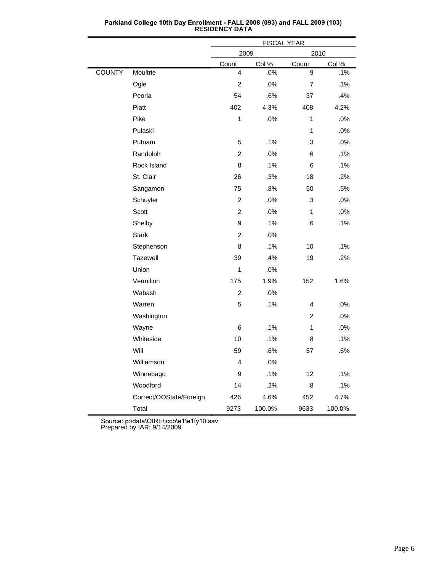|               |                         | <b>FISCAL YEAR</b> |        |                |        |  |  |
|---------------|-------------------------|--------------------|--------|----------------|--------|--|--|
|               |                         | 2009               |        | 2010           |        |  |  |
|               |                         | Count              | Col %  | Count          | Col %  |  |  |
| <b>COUNTY</b> | Moultrie                | 4                  | .0%    | 9              | .1%    |  |  |
|               | Ogle                    | $\overline{c}$     | .0%    | $\overline{7}$ | .1%    |  |  |
|               | Peoria                  | 54                 | .6%    | 37             | .4%    |  |  |
|               | Piatt                   | 402                | 4.3%   | 408            | 4.2%   |  |  |
|               | Pike                    | $\mathbf{1}$       | .0%    | 1              | .0%    |  |  |
|               | Pulaski                 |                    |        | 1              | .0%    |  |  |
|               | Putnam                  | 5                  | .1%    | 3              | .0%    |  |  |
|               | Randolph                | $\overline{c}$     | .0%    | 6              | .1%    |  |  |
|               | Rock Island             | 8                  | .1%    | 6              | .1%    |  |  |
|               | St. Clair               | 26                 | .3%    | 18             | .2%    |  |  |
|               | Sangamon                | 75                 | .8%    | 50             | .5%    |  |  |
|               | Schuyler                | $\overline{c}$     | .0%    | 3              | .0%    |  |  |
|               | Scott                   | $\overline{c}$     | .0%    | 1              | .0%    |  |  |
|               | Shelby                  | 9                  | .1%    | 6              | .1%    |  |  |
|               | <b>Stark</b>            | $\overline{c}$     | .0%    |                |        |  |  |
|               | Stephenson              | 8                  | .1%    | 10             | .1%    |  |  |
|               | Tazewell                | 39                 | .4%    | 19             | .2%    |  |  |
|               | Union                   | 1                  | .0%    |                |        |  |  |
|               | Vermilion               | 175                | 1.9%   | 152            | 1.6%   |  |  |
|               | Wabash                  | $\overline{c}$     | .0%    |                |        |  |  |
|               | Warren                  | 5                  | .1%    | 4              | .0%    |  |  |
|               | Washington              |                    |        | $\overline{c}$ | .0%    |  |  |
|               | Wayne                   | 6                  | .1%    | 1              | .0%    |  |  |
|               | Whiteside               | 10                 | .1%    | 8              | .1%    |  |  |
|               | Will                    | 59                 | .6%    | 57             | .6%    |  |  |
|               | Williamson              | 4                  | .0%    |                |        |  |  |
|               | Winnebago               | 9                  | .1%    | 12             | $.1\%$ |  |  |
|               | Woodford                | 14                 | .2%    | 8              | .1%    |  |  |
|               | Correct/OOState/Foreign | 426                | 4.6%   | 452            | 4.7%   |  |  |
|               | Total                   | 9273               | 100.0% | 9633           | 100.0% |  |  |

Parkland College 10th Day Enrollment - FALL 2008 (093) and FALL 2009 (103)<br>RESIDENCY DATA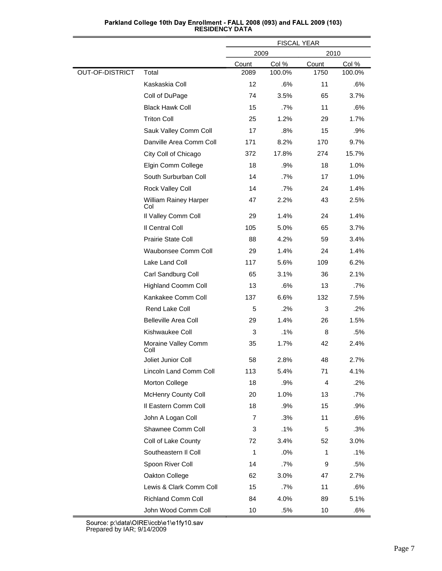|                        |                              | <b>FISCAL YEAR</b> |        |       |        |
|------------------------|------------------------------|--------------------|--------|-------|--------|
|                        |                              | 2009               |        | 2010  |        |
|                        |                              | Count              | Col %  | Count | Col %  |
| <b>OUT-OF-DISTRICT</b> | Total                        | 2089               | 100.0% | 1750  | 100.0% |
|                        | Kaskaskia Coll               | 12                 | .6%    | 11    | .6%    |
|                        | Coll of DuPage               | 74                 | 3.5%   | 65    | 3.7%   |
|                        | <b>Black Hawk Coll</b>       | 15                 | .7%    | 11    | .6%    |
|                        | <b>Triton Coll</b>           | 25                 | 1.2%   | 29    | 1.7%   |
|                        | Sauk Valley Comm Coll        | 17                 | .8%    | 15    | .9%    |
|                        | Danville Area Comm Coll      | 171                | 8.2%   | 170   | 9.7%   |
|                        | City Coll of Chicago         | 372                | 17.8%  | 274   | 15.7%  |
|                        | Elgin Comm College           | 18                 | .9%    | 18    | 1.0%   |
|                        | South Surburban Coll         | 14                 | .7%    | 17    | 1.0%   |
|                        | Rock Valley Coll             | 14                 | .7%    | 24    | 1.4%   |
|                        | William Rainey Harper<br>Col | 47                 | 2.2%   | 43    | 2.5%   |
|                        | Il Valley Comm Coll          | 29                 | 1.4%   | 24    | 1.4%   |
|                        | Il Central Coll              | 105                | 5.0%   | 65    | 3.7%   |
|                        | Prairie State Coll           | 88                 | 4.2%   | 59    | 3.4%   |
|                        | Waubonsee Comm Coll          | 29                 | 1.4%   | 24    | 1.4%   |
|                        | Lake Land Coll               | 117                | 5.6%   | 109   | 6.2%   |
|                        | Carl Sandburg Coll           | 65                 | 3.1%   | 36    | 2.1%   |
|                        | <b>Highland Coomm Coll</b>   | 13                 | .6%    | 13    | .7%    |
|                        | Kankakee Comm Coll           | 137                | 6.6%   | 132   | 7.5%   |
|                        | Rend Lake Coll               | 5                  | .2%    | 3     | .2%    |
|                        | <b>Belleville Area Coll</b>  | 29                 | 1.4%   | 26    | 1.5%   |
|                        | Kishwaukee Coll              | 3                  | .1%    | 8     | .5%    |
|                        | Moraine Valley Comm<br>Coll  | 35                 | 1.7%   | 42    | 2.4%   |
|                        | Joliet Junior Coll           | 58                 | 2.8%   | 48    | 2.7%   |
|                        | Lincoln Land Comm Coll       | 113                | 5.4%   | 71    | 4.1%   |
|                        | Morton College               | 18                 | .9%    | 4     | .2%    |
|                        | <b>McHenry County Coll</b>   | 20                 | 1.0%   | 13    | .7%    |
|                        | Il Eastern Comm Coll         | 18                 | .9%    | 15    | .9%    |
|                        | John A Logan Coll            | 7                  | .3%    | 11    | .6%    |
|                        | Shawnee Comm Coll            | 3                  | .1%    | 5     | .3%    |
|                        | Coll of Lake County          | 72                 | 3.4%   | 52    | 3.0%   |
|                        | Southeastern II Coll         | $\mathbf 1$        | .0%    | 1     | .1%    |
|                        | Spoon River Coll             | 14                 | .7%    | 9     | .5%    |
|                        | Oakton College               | 62                 | 3.0%   | 47    | 2.7%   |
|                        | Lewis & Clark Comm Coll      | 15                 | .7%    | 11    | .6%    |
|                        | Richland Comm Coll           | 84                 | 4.0%   | 89    | 5.1%   |
|                        | John Wood Comm Coll          | 10                 | .5%    | 10    | .6%    |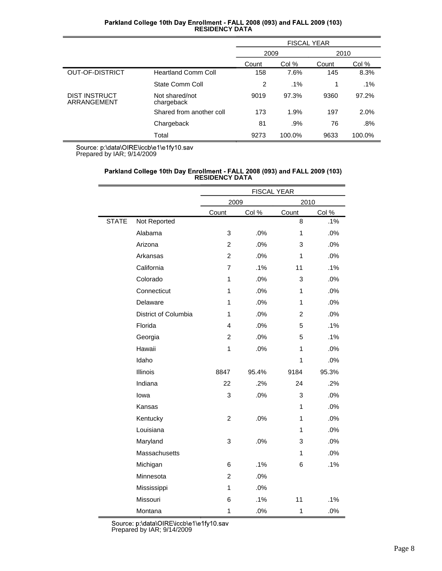| Parkland College 10th Day Enrollment - FALL 2008 (093) and FALL 2009 (103) |  |
|----------------------------------------------------------------------------|--|
| <b>RESIDENCY DATA</b>                                                      |  |

|                                     |                              | <b>FISCAL YEAR</b> |        |       |        |
|-------------------------------------|------------------------------|--------------------|--------|-------|--------|
|                                     |                              | 2009               |        | 2010  |        |
|                                     |                              | Count              | Col %  | Count | Col %  |
| OUT-OF-DISTRICT                     | <b>Heartland Comm Coll</b>   | 158                | 7.6%   | 145   | 8.3%   |
|                                     | State Comm Coll              | 2                  | $.1\%$ | 1     | $.1\%$ |
| <b>DIST INSTRUCT</b><br>ARRANGEMENT | Not shared/not<br>chargeback | 9019               | 97.3%  | 9360  | 97.2%  |
|                                     | Shared from another coll     | 173                | 1.9%   | 197   | 2.0%   |
|                                     | Chargeback                   | 81                 | .9%    | 76    | .8%    |
|                                     | Total                        | 9273               | 100.0% | 9633  | 100.0% |

# Parkland College 10th Day Enrollment - FALL 2008 (093) and FALL 2009 (103)<br>RESIDENCY DATA

|              |                      | <b>FISCAL YEAR</b> |       |                |       |  |  |
|--------------|----------------------|--------------------|-------|----------------|-------|--|--|
|              |                      | 2009               |       | 2010           |       |  |  |
|              |                      | Count              | Col % | Count          | Col % |  |  |
| <b>STATE</b> | Not Reported         |                    |       | 8              | .1%   |  |  |
|              | Alabama              | 3                  | .0%   | 1              | .0%   |  |  |
|              | Arizona              | $\overline{2}$     | .0%   | 3              | .0%   |  |  |
|              | Arkansas             | $\overline{2}$     | .0%   | 1              | .0%   |  |  |
|              | California           | 7                  | .1%   | 11             | .1%   |  |  |
|              | Colorado             | 1                  | .0%   | 3              | .0%   |  |  |
|              | Connecticut          | 1                  | .0%   | 1              | .0%   |  |  |
|              | Delaware             | 1                  | .0%   | 1              | .0%   |  |  |
|              | District of Columbia | 1                  | .0%   | $\overline{2}$ | .0%   |  |  |
|              | Florida              | 4                  | .0%   | 5              | .1%   |  |  |
|              | Georgia              | $\overline{c}$     | .0%   | 5              | .1%   |  |  |
|              | Hawaii               | 1                  | .0%   | 1              | .0%   |  |  |
|              | Idaho                |                    |       | 1              | .0%   |  |  |
|              | Illinois             | 8847               | 95.4% | 9184           | 95.3% |  |  |
|              | Indiana              | 22                 | .2%   | 24             | .2%   |  |  |
|              | lowa                 | 3                  | .0%   | 3              | .0%   |  |  |
|              | Kansas               |                    |       | 1              | .0%   |  |  |
|              | Kentucky             | $\overline{2}$     | .0%   | 1              | .0%   |  |  |
|              | Louisiana            |                    |       | 1              | .0%   |  |  |
|              | Maryland             | 3                  | .0%   | 3              | .0%   |  |  |
|              | Massachusetts        |                    |       | $\mathbf{1}$   | .0%   |  |  |
|              | Michigan             | 6                  | .1%   | 6              | .1%   |  |  |
|              | Minnesota            | $\overline{2}$     | .0%   |                |       |  |  |
|              | Mississippi          | 1                  | .0%   |                |       |  |  |
|              | Missouri             | 6                  | .1%   | 11             | .1%   |  |  |
|              | Montana              | 1                  | .0%   | $\mathbf{1}$   | .0%   |  |  |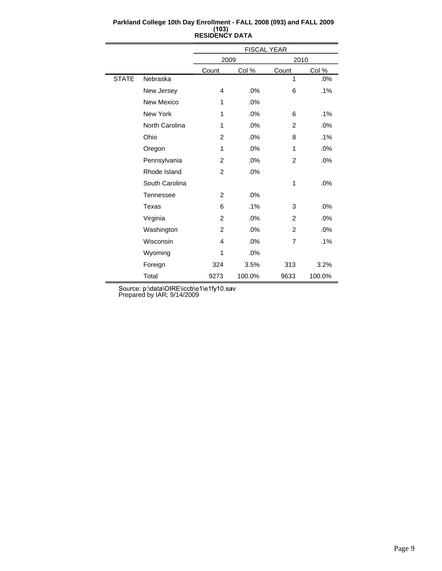|              |                | FISCAL YEAR    |        |                |        |  |
|--------------|----------------|----------------|--------|----------------|--------|--|
|              |                | 2009           |        | 2010           |        |  |
|              |                | Count          | Col %  | Count          | Col %  |  |
| <b>STATE</b> | Nebraska       |                |        | 1              | .0%    |  |
|              | New Jersey     | 4              | .0%    | 6              | .1%    |  |
|              | New Mexico     | 1              | .0%    |                |        |  |
|              | New York       | 1              | .0%    | 6              | .1%    |  |
|              | North Carolina | 1              | .0%    | 2              | .0%    |  |
|              | Ohio           | $\overline{2}$ | .0%    | 8              | .1%    |  |
|              | Oregon         | 1              | .0%    | 1              | .0%    |  |
|              | Pennsylvania   | 2              | .0%    | $\overline{2}$ | .0%    |  |
|              | Rhode Island   | 2              | .0%    |                |        |  |
|              | South Carolina |                |        | 1              | .0%    |  |
|              | Tennessee      | 2              | .0%    |                |        |  |
|              | Texas          | 6              | $.1\%$ | 3              | .0%    |  |
|              | Virginia       | 2              | .0%    | 2              | .0%    |  |
|              | Washington     | $\overline{2}$ | .0%    | $\overline{2}$ | .0%    |  |
|              | Wisconsin      | 4              | .0%    | 7              | .1%    |  |
|              | Wyoming        | 1              | .0%    |                |        |  |
|              | Foreign        | 324            | 3.5%   | 313            | 3.2%   |  |
|              | Total          | 9273           | 100.0% | 9633           | 100.0% |  |

#### **Parkland College 10th Day Enrollment - FALL 2008 (093) and FALL 2009 RESIDENCY DATA**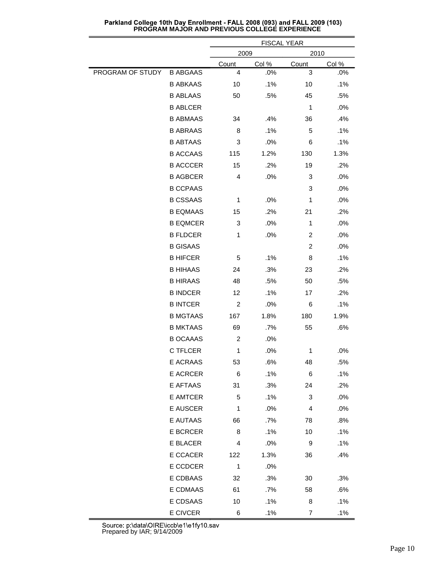|                  |                 | <b>FISCAL YEAR</b> |       |                  |        |  |  |
|------------------|-----------------|--------------------|-------|------------------|--------|--|--|
|                  |                 | 2009               |       |                  | 2010   |  |  |
|                  |                 | Count              | Col % | Count            | Col %  |  |  |
| PROGRAM OF STUDY | <b>B ABGAAS</b> | 4                  | .0%   | 3                | .0%    |  |  |
|                  | <b>B ABKAAS</b> | 10                 | .1%   | 10               | .1%    |  |  |
|                  | <b>B ABLAAS</b> | 50                 | .5%   | 45               | .5%    |  |  |
|                  | <b>B ABLCER</b> |                    |       | 1                | .0%    |  |  |
|                  | <b>B ABMAAS</b> | 34                 | .4%   | 36               | .4%    |  |  |
|                  | <b>B ABRAAS</b> | 8                  | .1%   | 5                | .1%    |  |  |
|                  | <b>B ABTAAS</b> | 3                  | .0%   | 6                | .1%    |  |  |
|                  | <b>B ACCAAS</b> | 115                | 1.2%  | 130              | 1.3%   |  |  |
|                  | <b>B ACCCER</b> | 15                 | .2%   | 19               | .2%    |  |  |
|                  | <b>B AGBCER</b> | 4                  | .0%   | 3                | .0%    |  |  |
|                  | <b>B CCPAAS</b> |                    |       | 3                | .0%    |  |  |
|                  | <b>B CSSAAS</b> | 1                  | .0%   | 1                | .0%    |  |  |
|                  | <b>B EQMAAS</b> | 15                 | .2%   | 21               | .2%    |  |  |
|                  | <b>B EQMCER</b> | 3                  | .0%   | 1                | .0%    |  |  |
|                  | <b>B FLDCER</b> | $\mathbf{1}$       | .0%   | $\overline{c}$   | .0%    |  |  |
|                  | <b>B GISAAS</b> |                    |       | 2                | .0%    |  |  |
|                  | <b>B HIFCER</b> | 5                  | .1%   | 8                | .1%    |  |  |
|                  | <b>B HIHAAS</b> | 24                 | .3%   | 23               | .2%    |  |  |
|                  | <b>B HIRAAS</b> | 48                 | .5%   | 50               | .5%    |  |  |
|                  | <b>B INDCER</b> | 12                 | .1%   | 17               | .2%    |  |  |
|                  | <b>B INTCER</b> | 2                  | .0%   | 6                | .1%    |  |  |
|                  | <b>B MGTAAS</b> | 167                | 1.8%  | 180              | 1.9%   |  |  |
|                  | <b>B MKTAAS</b> | 69                 | .7%   | 55               | .6%    |  |  |
|                  | <b>B OCAAAS</b> | $\overline{c}$     | .0%   |                  |        |  |  |
|                  | C TFLCER        | $\mathbf 1$        | .0%   | 1                | .0%    |  |  |
|                  | E ACRAAS        | 53                 | .6%   | 48               | .5%    |  |  |
|                  | E ACRCER        | 6                  | .1%   | 6                | .1%    |  |  |
|                  | E AFTAAS        | 31                 | .3%   | 24               | .2%    |  |  |
|                  | E AMTCER        | 5                  | .1%   | 3                | $.0\%$ |  |  |
|                  | E AUSCER        | $\mathbf{1}$       | .0%   | 4                | $.0\%$ |  |  |
|                  | E AUTAAS        | 66                 | .7%   | 78               | .8%    |  |  |
|                  | E BCRCER        | 8                  | .1%   | 10               | .1%    |  |  |
|                  | E BLACER        | 4                  | .0%   | $\boldsymbol{9}$ | .1%    |  |  |
|                  | E CCACER        | 122                | 1.3%  | 36               | .4%    |  |  |
|                  | E CCDCER        | $\mathbf{1}$       | .0%   |                  |        |  |  |
|                  | E CDBAAS        | 32                 | .3%   | 30               | .3%    |  |  |
|                  | E CDMAAS        | 61                 | .7%   | 58               | .6%    |  |  |
|                  | E CDSAAS        | 10                 | .1%   | 8                | .1%    |  |  |
|                  | E CIVCER        | 6                  | .1%   | $\overline{7}$   | .1%    |  |  |

Parkland College 10th Day Enrollment - FALL 2008 (093) and FALL 2009 (103)<br>PROGRAM MAJOR AND PREVIOUS COLLEGE EXPERIENCE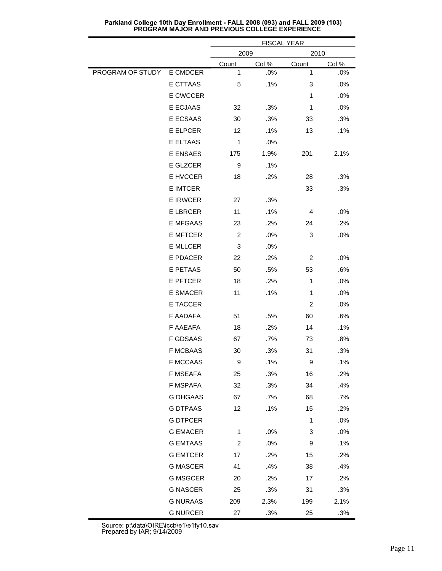|                  |                 |                | <b>FISCAL YEAR</b> |             |       |
|------------------|-----------------|----------------|--------------------|-------------|-------|
|                  |                 | 2009<br>2010   |                    |             |       |
|                  |                 | Count          | Col %              | Count       | Col % |
| PROGRAM OF STUDY | E CMDCER        | 1              | .0%                | 1           | .0%   |
|                  | E CTTAAS        | 5              | .1%                | 3           | .0%   |
|                  | E CWCCER        |                |                    | 1           | .0%   |
|                  | E ECJAAS        | 32             | .3%                | 1           | .0%   |
|                  | E ECSAAS        | 30             | .3%                | 33          | .3%   |
|                  | E ELPCER        | 12             | .1%                | 13          | .1%   |
|                  | E ELTAAS        | 1              | .0%                |             |       |
|                  | E ENSAES        | 175            | 1.9%               | 201         | 2.1%  |
|                  | E GLZCER        | 9              | .1%                |             |       |
|                  | E HVCCER        | 18             | .2%                | 28          | .3%   |
|                  | <b>E IMTCER</b> |                |                    | 33          | .3%   |
|                  | <b>E IRWCER</b> | 27             | .3%                |             |       |
|                  | <b>E LBRCER</b> | 11             | .1%                | 4           | .0%   |
|                  | <b>E MFGAAS</b> | 23             | .2%                | 24          | .2%   |
|                  | <b>E MFTCER</b> | $\overline{c}$ | .0%                | 3           | .0%   |
|                  | <b>E MLLCER</b> | 3              | .0%                |             |       |
|                  | E PDACER        | 22             | .2%                | 2           | .0%   |
|                  | E PETAAS        | 50             | .5%                | 53          | .6%   |
|                  | <b>E PFTCER</b> | 18             | .2%                | 1           | .0%   |
|                  | <b>E SMACER</b> | 11             | .1%                | $\mathbf 1$ | .0%   |
|                  | E TACCER        |                |                    | 2           | .0%   |
|                  | F AADAFA        | 51             | .5%                | 60          | .6%   |
|                  | F AAEAFA        | 18             | .2%                | 14          | .1%   |
|                  | F GDSAAS        | 67             | .7%                | 73          | .8%   |
|                  | <b>F MCBAAS</b> | 30             | .3%                | 31          | .3%   |
|                  | <b>F MCCAAS</b> | 9              | .1%                | 9           | .1%   |
|                  | F MSEAFA        | 25             | .3%                | 16          | .2%   |
|                  | F MSPAFA        | 32             | .3%                | 34          | .4%   |
|                  | <b>G DHGAAS</b> | 67             | .7%                | 68          | .7%   |
|                  | <b>G DTPAAS</b> | 12             | .1%                | 15          | .2%   |
|                  | <b>G DTPCER</b> |                |                    | $\mathbf 1$ | .0%   |
|                  | <b>G EMACER</b> | 1              | .0%                | 3           | .0%   |
|                  | <b>G EMTAAS</b> | $\overline{c}$ | .0%                | 9           | .1%   |
|                  | <b>G EMTCER</b> | 17             | .2%                | 15          | .2%   |
|                  | <b>G MASCER</b> | 41             | .4%                | 38          | .4%   |
|                  | <b>G MSGCER</b> | 20             | .2%                | 17          | .2%   |
|                  | <b>G NASCER</b> | 25             | .3%                | 31          | .3%   |
|                  | <b>G NURAAS</b> | 209            | 2.3%               | 199         | 2.1%  |
|                  | <b>G NURCER</b> | 27             | .3%                | 25          | .3%   |
|                  |                 |                |                    |             |       |

Parkland College 10th Day Enrollment - FALL 2008 (093) and FALL 2009 (103)<br>PROGRAM MAJOR AND PREVIOUS COLLEGE EXPERIENCE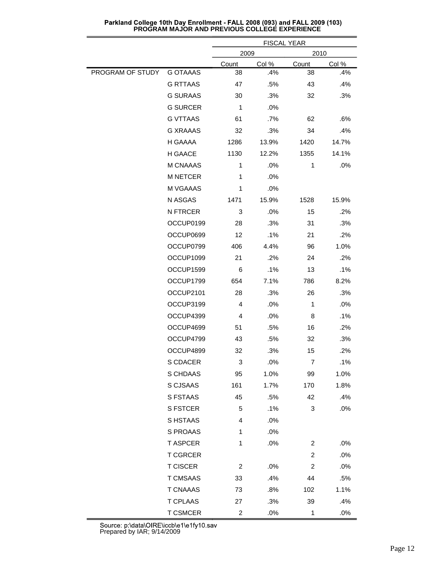|                  |                 |                | <b>FISCAL YEAR</b> |                |       |  |
|------------------|-----------------|----------------|--------------------|----------------|-------|--|
|                  |                 | 2009           |                    |                | 2010  |  |
|                  |                 | Count          | Col %              | Count          | Col % |  |
| PROGRAM OF STUDY | <b>G OTAAAS</b> | 38             | .4%                | 38             | .4%   |  |
|                  | <b>G RTTAAS</b> | 47             | .5%                | 43             | .4%   |  |
|                  | <b>G SURAAS</b> | 30             | .3%                | 32             | .3%   |  |
|                  | <b>G SURCER</b> | 1              | .0%                |                |       |  |
|                  | <b>G VTTAAS</b> | 61             | .7%                | 62             | .6%   |  |
|                  | <b>G XRAAAS</b> | 32             | .3%                | 34             | .4%   |  |
|                  | H GAAAA         | 1286           | 13.9%              | 1420           | 14.7% |  |
|                  | H GAACE         | 1130           | 12.2%              | 1355           | 14.1% |  |
|                  | M CNAAAS        | 1              | .0%                | 1              | .0%   |  |
|                  | <b>M NETCER</b> | 1              | .0%                |                |       |  |
|                  | M VGAAAS        | 1              | .0%                |                |       |  |
|                  | N ASGAS         | 1471           | 15.9%              | 1528           | 15.9% |  |
|                  | N FTRCER        | 3              | .0%                | 15             | .2%   |  |
|                  | OCCUP0199       | 28             | .3%                | 31             | .3%   |  |
|                  | OCCUP0699       | 12             | .1%                | 21             | .2%   |  |
|                  | OCCUP0799       | 406            | 4.4%               | 96             | 1.0%  |  |
|                  | OCCUP1099       | 21             | .2%                | 24             | .2%   |  |
|                  | OCCUP1599       | 6              | .1%                | 13             | .1%   |  |
|                  | OCCUP1799       | 654            | 7.1%               | 786            | 8.2%  |  |
|                  | OCCUP2101       | 28             | .3%                | 26             | .3%   |  |
|                  | OCCUP3199       | 4              | .0%                | 1              | .0%   |  |
|                  | OCCUP4399       | 4              | .0%                | 8              | .1%   |  |
|                  | OCCUP4699       | 51             | .5%                | 16             | .2%   |  |
|                  | OCCUP4799       | 43             | .5%                | 32             | .3%   |  |
|                  | OCCUP4899       | 32             | .3%                | 15             | .2%   |  |
|                  | S CDACER        | 3              | .0%                | 7              | .1%   |  |
|                  | S CHDAAS        | 95             | 1.0%               | 99             | 1.0%  |  |
|                  | S CJSAAS        | 161            | 1.7%               | 170            | 1.8%  |  |
|                  | S FSTAAS        | 45             | .5%                | 42             | .4%   |  |
|                  | S FSTCER        | 5              | .1%                | 3              | .0%   |  |
|                  | S HSTAAS        | 4              | .0%                |                |       |  |
|                  | S PROAAS        | 1              | .0%                |                |       |  |
|                  | <b>T ASPCER</b> | $\mathbf 1$    | .0%                | 2              | .0%   |  |
|                  | <b>T CGRCER</b> |                |                    | $\overline{c}$ | .0%   |  |
|                  | <b>T CISCER</b> | $\overline{2}$ | .0%                | $\overline{c}$ | .0%   |  |
|                  | T CMSAAS        | 33             | .4%                | 44             | .5%   |  |
|                  | <b>T CNAAAS</b> | 73             | .8%                | 102            | 1.1%  |  |
|                  | <b>T CPLAAS</b> | 27             | .3%                | 39             | .4%   |  |
|                  | <b>T CSMCER</b> | $\overline{c}$ | .0%                | 1              | .0%   |  |

Parkland College 10th Day Enrollment - FALL 2008 (093) and FALL 2009 (103)<br>PROGRAM MAJOR AND PREVIOUS COLLEGE EXPERIENCE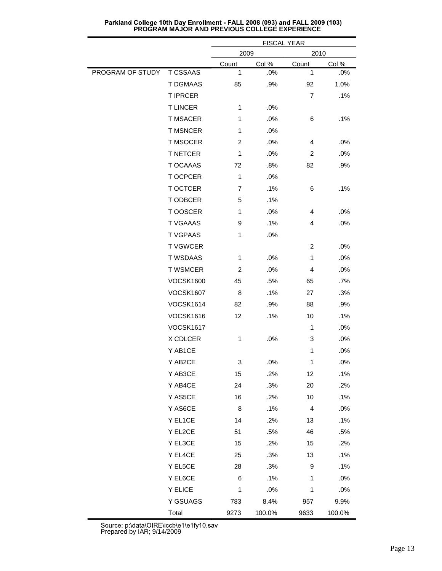|                  |                  |                | <b>FISCAL YEAR</b> |                |        |  |
|------------------|------------------|----------------|--------------------|----------------|--------|--|
|                  |                  | 2009           |                    | 2010           |        |  |
|                  |                  | Count          | Col %              | Count          | Col %  |  |
| PROGRAM OF STUDY | <b>T CSSAAS</b>  | 1              | .0%                | 1              | .0%    |  |
|                  | T DGMAAS         | 85             | .9%                | 92             | 1.0%   |  |
|                  | <b>T IPRCER</b>  |                |                    | $\overline{7}$ | .1%    |  |
|                  | <b>TLINCER</b>   | 1              | .0%                |                |        |  |
|                  | <b>T MSACER</b>  | 1              | .0%                | 6              | .1%    |  |
|                  | <b>T MSNCER</b>  | 1              | .0%                |                |        |  |
|                  | <b>T MSOCER</b>  | $\overline{c}$ | .0%                | 4              | .0%    |  |
|                  | <b>T NETCER</b>  | 1              | .0%                | 2              | .0%    |  |
|                  | T OCAAAS         | 72             | .8%                | 82             | .9%    |  |
|                  | T OCPCER         | 1              | .0%                |                |        |  |
|                  | T OCTCER         | 7              | .1%                | 6              | .1%    |  |
|                  | T ODBCER         | 5              | .1%                |                |        |  |
|                  | T OOSCER         | $\mathbf{1}$   | .0%                | 4              | .0%    |  |
|                  | <b>T VGAAAS</b>  | 9              | .1%                | 4              | .0%    |  |
|                  | <b>T VGPAAS</b>  | 1              | .0%                |                |        |  |
|                  | <b>TVGWCER</b>   |                |                    | $\overline{c}$ | .0%    |  |
|                  | <b>T WSDAAS</b>  | 1              | .0%                | 1              | .0%    |  |
|                  | <b>T WSMCER</b>  | $\overline{c}$ | .0%                | 4              | .0%    |  |
|                  | <b>VOCSK1600</b> | 45             | .5%                | 65             | .7%    |  |
|                  | <b>VOCSK1607</b> | 8              | .1%                | 27             | .3%    |  |
|                  | <b>VOCSK1614</b> | 82             | .9%                | 88             | .9%    |  |
|                  | <b>VOCSK1616</b> | 12             | .1%                | 10             | .1%    |  |
|                  | <b>VOCSK1617</b> |                |                    | 1              | .0%    |  |
|                  | X CDLCER         | $\mathbf 1$    | .0%                | 3              | .0%    |  |
|                  | Y AB1CE          |                |                    | $\mathbf{1}$   | .0%    |  |
|                  | Y AB2CE          | 3              | .0%                | 1              | .0%    |  |
|                  | Y AB3CE          | 15             | .2%                | 12             | .1%    |  |
|                  | Y AB4CE          | 24             | .3%                | 20             | .2%    |  |
|                  | Y AS5CE          | 16             | .2%                | 10             | .1%    |  |
|                  | Y AS6CE          | 8              | .1%                | $\overline{4}$ | .0%    |  |
|                  | Y EL1CE          | 14             | .2%                | 13             | .1%    |  |
|                  | Y EL2CE          | 51             | .5%                | 46             | .5%    |  |
|                  | Y EL3CE          | 15             | .2%                | 15             | .2%    |  |
|                  | Y EL4CE          | 25             | .3%                | 13             | .1%    |  |
|                  | Y EL5CE          | 28             | .3%                | 9              | .1%    |  |
|                  | Y EL6CE          | $\,6$          | .1%                | 1              | .0%    |  |
|                  | Y ELICE          | 1              | .0%                | 1              | .0%    |  |
|                  | Y GSUAGS         | 783            | 8.4%               | 957            | 9.9%   |  |
|                  |                  |                |                    |                |        |  |
|                  | Total            | 9273           | 100.0%             | 9633           | 100.0% |  |

Parkland College 10th Day Enrollment - FALL 2008 (093) and FALL 2009 (103)<br>PROGRAM MAJOR AND PREVIOUS COLLEGE EXPERIENCE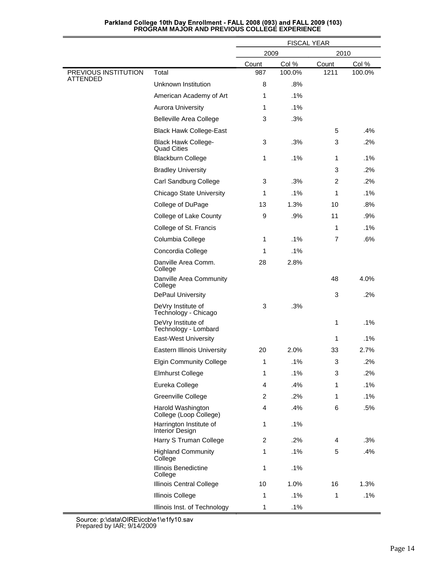|                                         |                                                  | <b>FISCAL YEAR</b> |        |                           |        |
|-----------------------------------------|--------------------------------------------------|--------------------|--------|---------------------------|--------|
|                                         |                                                  | 2009<br>2010       |        |                           |        |
|                                         |                                                  | Count              | Col %  | Count                     | Col %  |
| PREVIOUS INSTITUTION<br><b>ATTENDED</b> | Total                                            | 987                | 100.0% | 1211                      | 100.0% |
|                                         | Unknown Institution                              | 8                  | .8%    |                           |        |
|                                         | American Academy of Art                          | 1                  | $.1\%$ |                           |        |
|                                         | <b>Aurora University</b>                         | 1                  | .1%    |                           |        |
|                                         | <b>Belleville Area College</b>                   | 3                  | .3%    |                           |        |
|                                         | <b>Black Hawk College-East</b>                   |                    |        | 5                         | .4%    |
|                                         | <b>Black Hawk College-</b><br><b>Quad Cities</b> | 3                  | .3%    | 3                         | .2%    |
|                                         | <b>Blackburn College</b>                         | 1                  | .1%    | 1                         | $.1\%$ |
|                                         | <b>Bradley University</b>                        |                    |        | 3                         | .2%    |
|                                         | Carl Sandburg College                            | 3                  | .3%    | 2                         | .2%    |
|                                         | <b>Chicago State University</b>                  | 1                  | .1%    | 1                         | $.1\%$ |
|                                         | College of DuPage                                | 13                 | 1.3%   | 10                        | .8%    |
|                                         | College of Lake County                           | 9                  | .9%    | 11                        | .9%    |
|                                         | College of St. Francis                           |                    |        | 1                         | $.1\%$ |
|                                         | Columbia College                                 | 1                  | .1%    | 7                         | .6%    |
|                                         | Concordia College                                | 1                  | .1%    |                           |        |
|                                         | Danville Area Comm.<br>College                   | 28                 | 2.8%   |                           |        |
|                                         | Danville Area Community<br>College               |                    |        | 48                        | 4.0%   |
|                                         | DePaul University                                |                    |        | 3                         | .2%    |
|                                         | DeVry Institute of<br>Technology - Chicago       | 3                  | .3%    |                           |        |
|                                         | DeVry Institute of<br>Technology - Lombard       |                    |        | 1                         | .1%    |
|                                         | <b>East-West University</b>                      |                    |        | 1                         | .1%    |
|                                         | <b>Eastern Illinois University</b>               | 20                 | 2.0%   | 33                        | 2.7%   |
|                                         | <b>Elgin Community College</b>                   | $\overline{1}$     | .1%    | $\ensuremath{\mathsf{3}}$ | .2%    |
|                                         | <b>Elmhurst College</b>                          | 1                  | .1%    | 3                         | .2%    |
|                                         | Eureka College                                   | 4                  | .4%    | 1                         | .1%    |
|                                         | Greenville College                               | 2                  | .2%    | 1                         | .1%    |
|                                         | Harold Washington<br>College (Loop College)      | $\overline{4}$     | .4%    | 6                         | .5%    |
|                                         | Harrington Institute of<br>Interior Design       | 1                  | .1%    |                           |        |
|                                         | Harry S Truman College                           | $\overline{c}$     | .2%    | 4                         | .3%    |
|                                         | <b>Highland Community</b><br>College             | 1                  | .1%    | $\mathbf 5$               | .4%    |
|                                         | Illinois Benedictine<br>College                  | 1                  | .1%    |                           |        |
|                                         | Illinois Central College                         | 10                 | 1.0%   | 16                        | 1.3%   |
|                                         | Illinois College                                 | 1                  | .1%    | 1                         | .1%    |
|                                         | Illinois Inst. of Technology                     | 1                  | .1%    |                           |        |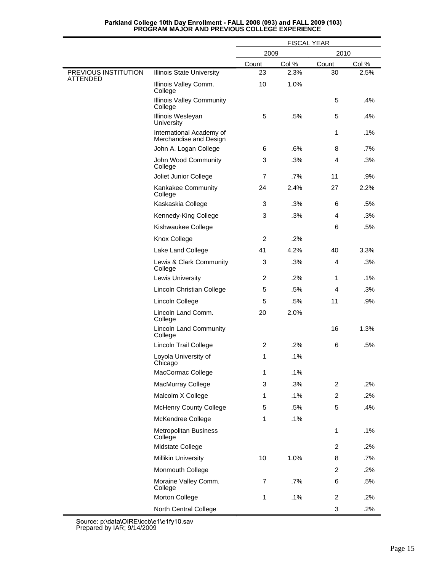|                                         |                                                    | <b>FISCAL YEAR</b> |       |                |        |
|-----------------------------------------|----------------------------------------------------|--------------------|-------|----------------|--------|
|                                         |                                                    | 2009<br>2010       |       |                |        |
|                                         |                                                    | Count              | Col % | Count          | Col %  |
| PREVIOUS INSTITUTION<br><b>ATTENDED</b> | <b>Illinois State University</b>                   | 23                 | 2.3%  | 30             | 2.5%   |
|                                         | Illinois Valley Comm.<br>College                   | 10                 | 1.0%  |                |        |
|                                         | <b>Illinois Valley Community</b><br>College        |                    |       | 5              | .4%    |
|                                         | Illinois Wesleyan<br>University                    | 5                  | .5%   | 5              | .4%    |
|                                         | International Academy of<br>Merchandise and Design |                    |       | 1              | .1%    |
|                                         | John A. Logan College                              | 6                  | .6%   | 8              | .7%    |
|                                         | John Wood Community<br>College                     | 3                  | .3%   | 4              | .3%    |
|                                         | Joliet Junior College                              | $\overline{7}$     | .7%   | 11             | .9%    |
|                                         | Kankakee Community<br>College                      | 24                 | 2.4%  | 27             | 2.2%   |
|                                         | Kaskaskia College                                  | 3                  | .3%   | 6              | .5%    |
|                                         | Kennedy-King College                               | 3                  | .3%   | 4              | .3%    |
|                                         | Kishwaukee College                                 |                    |       | 6              | .5%    |
|                                         | Knox College                                       | $\overline{2}$     | .2%   |                |        |
|                                         | Lake Land College                                  | 41                 | 4.2%  | 40             | 3.3%   |
|                                         | Lewis & Clark Community<br>College                 | 3                  | .3%   | $\overline{4}$ | .3%    |
|                                         | <b>Lewis University</b>                            | 2                  | .2%   | 1              | .1%    |
|                                         | Lincoln Christian College                          | 5                  | .5%   | 4              | .3%    |
|                                         | Lincoln College                                    | 5                  | .5%   | 11             | .9%    |
|                                         | Lincoln Land Comm.<br>College                      | 20                 | 2.0%  |                |        |
|                                         | <b>Lincoln Land Community</b><br>College           |                    |       | 16             | 1.3%   |
|                                         | Lincoln Trail College                              | 2                  | .2%   | 6              | .5%    |
|                                         | Loyola University of<br>Chicago                    | $\mathbf{1}$       | .1%   |                |        |
|                                         | MacCormac College                                  | 1                  | .1%   |                |        |
|                                         | MacMurray College                                  | 3                  | .3%   | 2              | .2%    |
|                                         | Malcolm X College                                  | $\mathbf{1}$       | .1%   | $\overline{c}$ | .2%    |
|                                         | <b>McHenry County College</b>                      | 5                  | .5%   | 5              | .4%    |
|                                         | McKendree College                                  | $\mathbf{1}$       | .1%   |                |        |
|                                         | Metropolitan Business<br>College                   |                    |       | $\mathbf{1}$   | .1%    |
|                                         | Midstate College                                   |                    |       | $\overline{c}$ | .2%    |
|                                         | <b>Millikin University</b>                         | 10                 | 1.0%  | 8              | .7%    |
|                                         | Monmouth College                                   |                    |       | $\overline{c}$ | .2%    |
|                                         | Moraine Valley Comm.<br>College                    | 7                  | .7%   | 6              | .5%    |
|                                         | Morton College                                     | $\mathbf{1}$       | .1%   | $\overline{c}$ | $.2\%$ |
|                                         | North Central College                              |                    |       | 3              | .2%    |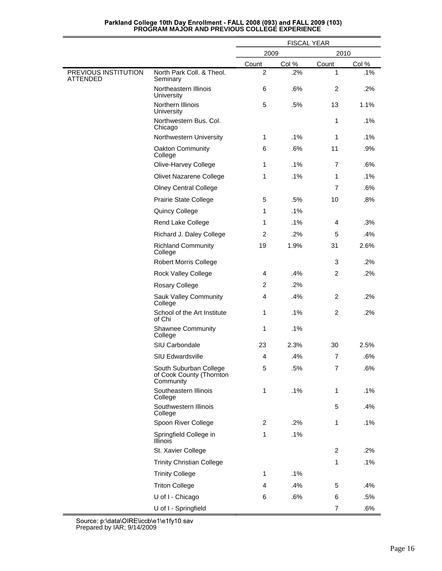|                                         |                                                                 | <b>FISCAL YEAR</b> |       |                |        |
|-----------------------------------------|-----------------------------------------------------------------|--------------------|-------|----------------|--------|
|                                         |                                                                 | 2009               |       | 2010           |        |
|                                         |                                                                 | Count              | Col % | Count          | Col %  |
| PREVIOUS INSTITUTION<br><b>ATTENDED</b> | North Park Coll. & Theol.<br>Seminary                           | $\overline{2}$     | .2%   | 1              | .1%    |
|                                         | Northeastern Illinois<br>University                             | 6                  | .6%   | 2              | .2%    |
|                                         | Northern Illinois<br><b>University</b>                          | 5                  | .5%   | 13             | 1.1%   |
|                                         | Northwestern Bus. Col.<br>Chicago                               |                    |       | 1              | .1%    |
|                                         | Northwestern University                                         | 1                  | .1%   | 1              | .1%    |
|                                         | Oakton Community<br>College                                     | 6                  | .6%   | 11             | .9%    |
|                                         | Olive-Harvey College                                            | 1                  | .1%   | $\overline{7}$ | .6%    |
|                                         | Olivet Nazarene College                                         | 1                  | .1%   | 1              | .1%    |
|                                         | <b>Olney Central College</b>                                    |                    |       | $\overline{7}$ | .6%    |
|                                         | Prairie State College                                           | 5                  | .5%   | 10             | .8%    |
|                                         | Quincy College                                                  | 1                  | .1%   |                |        |
|                                         | Rend Lake College                                               | 1                  | .1%   | 4              | .3%    |
|                                         | Richard J. Daley College                                        | $\overline{2}$     | .2%   | 5              | .4%    |
|                                         | <b>Richland Community</b><br>College                            | 19                 | 1.9%  | 31             | 2.6%   |
|                                         | Robert Morris College                                           |                    |       | 3              | .2%    |
|                                         | Rock Valley College                                             | 4                  | .4%   | $\overline{c}$ | .2%    |
|                                         | Rosary College                                                  | 2                  | .2%   |                |        |
|                                         | Sauk Valley Community<br>College                                | $\overline{4}$     | .4%   | 2              | .2%    |
|                                         | School of the Art Institute<br>of Chi                           | 1                  | .1%   | $\overline{c}$ | .2%    |
|                                         | <b>Shawnee Community</b><br>College                             | 1                  | .1%   |                |        |
|                                         | SIU Carbondale                                                  | 23                 | 2.3%  | 30             | 2.5%   |
|                                         | <b>SIU Edwardsville</b>                                         | 4                  | .4%   | $\overline{7}$ | .6%    |
|                                         | South Suburban College<br>of Cook County (Thornton<br>Community | 5                  | .5%   | $\overline{7}$ | .6%    |
|                                         | Southeastern Illinois<br>College                                | 1                  | .1%   | 1              | $.1\%$ |
|                                         | Southwestern Illinois<br>College                                |                    |       | 5              | .4%    |
|                                         | Spoon River College                                             | $\overline{c}$     | .2%   | $\mathbf{1}$   | .1%    |
|                                         | Springfield College in<br>Illinois                              | 1                  | .1%   |                |        |
|                                         | St. Xavier College                                              |                    |       | $\overline{2}$ | .2%    |
|                                         | <b>Trinity Christian College</b>                                |                    |       | 1              | .1%    |
|                                         | <b>Trinity College</b>                                          | $\mathbf{1}$       | .1%   |                |        |
|                                         | <b>Triton College</b>                                           | $\overline{4}$     | .4%   | 5              | .4%    |
|                                         | U of I - Chicago                                                | 6                  | .6%   | 6              | .5%    |
|                                         | U of I - Springfield                                            |                    |       | $\overline{7}$ | .6%    |